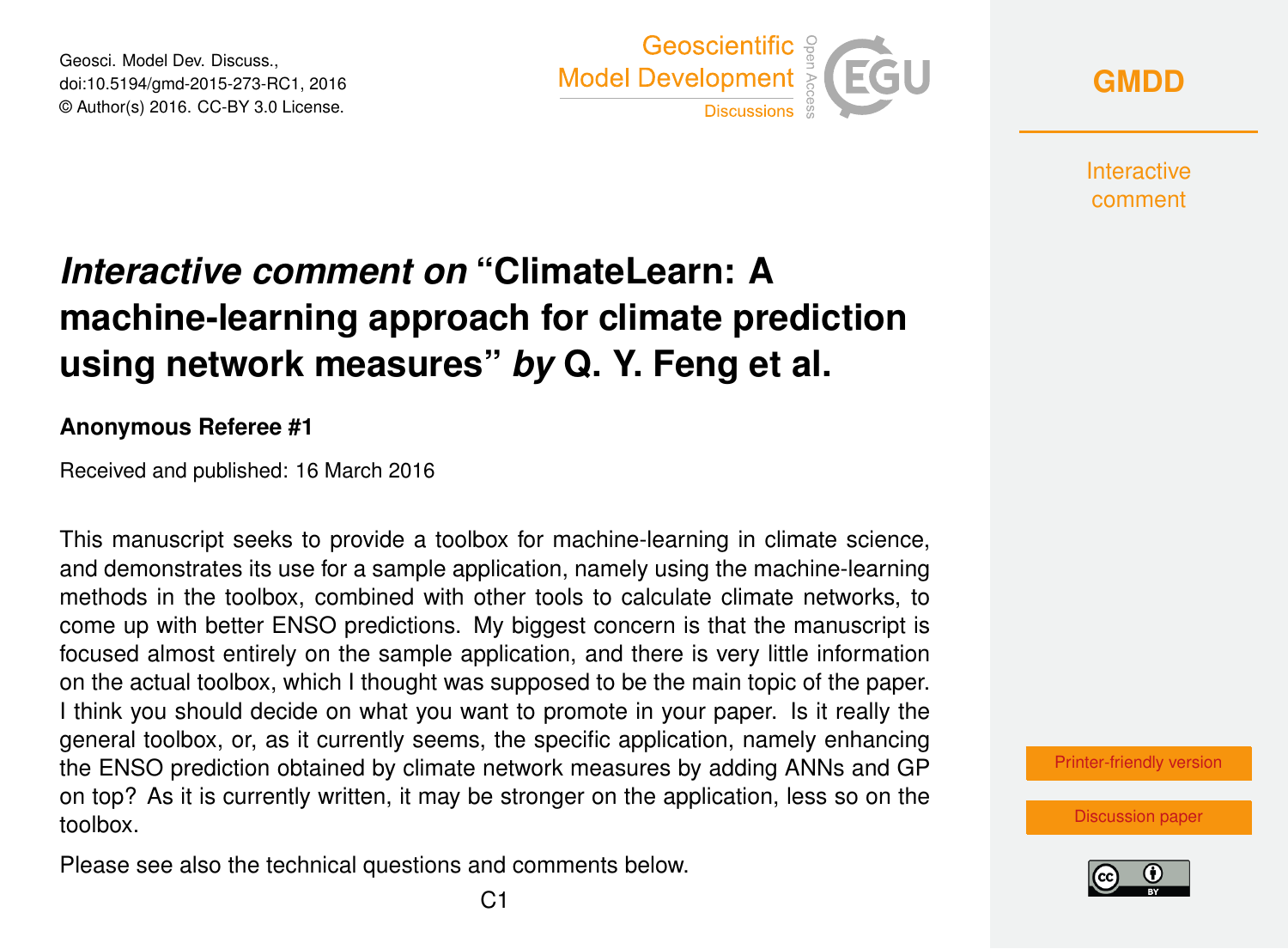Geosci. Model Dev. Discuss., doi:10.5194/gmd-2015-273-RC1, 2016 © Author(s) 2016. CC-BY 3.0 License.



**[GMDD](http://www.geosci-model-dev-discuss.net/)**

**Interactive** comment

## *Interactive comment on* **"ClimateLearn: A machine-learning approach for climate prediction using network measures"** *by* **Q. Y. Feng et al.**

## **Anonymous Referee #1**

Received and published: 16 March 2016

This manuscript seeks to provide a toolbox for machine-learning in climate science, and demonstrates its use for a sample application, namely using the machine-learning methods in the toolbox, combined with other tools to calculate climate networks, to come up with better ENSO predictions. My biggest concern is that the manuscript is focused almost entirely on the sample application, and there is very little information on the actual toolbox, which I thought was supposed to be the main topic of the paper. I think you should decide on what you want to promote in your paper. Is it really the general toolbox, or, as it currently seems, the specific application, namely enhancing the ENSO prediction obtained by climate network measures by adding ANNs and GP on top? As it is currently written, it may be stronger on the application, less so on the toolbox.

Please see also the technical questions and comments below.



[Discussion paper](http://www.geosci-model-dev-discuss.net/gmd-2015-273)

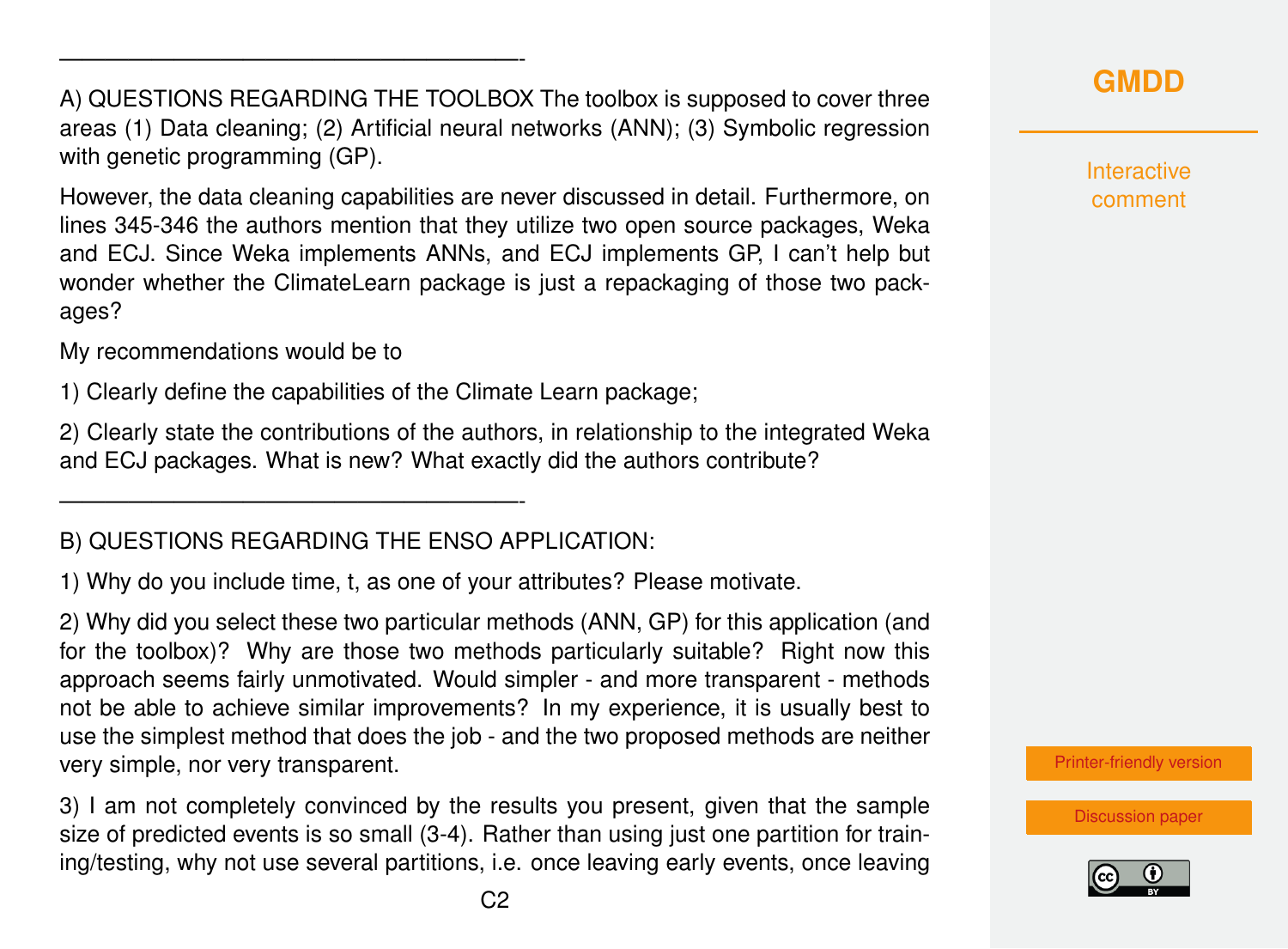A) QUESTIONS REGARDING THE TOOLBOX The toolbox is supposed to cover three areas (1) Data cleaning; (2) Artificial neural networks (ANN); (3) Symbolic regression with genetic programming (GP).

However, the data cleaning capabilities are never discussed in detail. Furthermore, on lines 345-346 the authors mention that they utilize two open source packages, Weka and ECJ. Since Weka implements ANNs, and ECJ implements GP, I can't help but wonder whether the ClimateLearn package is just a repackaging of those two packages?

My recommendations would be to

————————————————————-

1) Clearly define the capabilities of the Climate Learn package;

2) Clearly state the contributions of the authors, in relationship to the integrated Weka and ECJ packages. What is new? What exactly did the authors contribute?

## B) QUESTIONS REGARDING THE ENSO APPLICATION:

————————————————————-

1) Why do you include time, t, as one of your attributes? Please motivate.

2) Why did you select these two particular methods (ANN, GP) for this application (and for the toolbox)? Why are those two methods particularly suitable? Right now this approach seems fairly unmotivated. Would simpler - and more transparent - methods not be able to achieve similar improvements? In my experience, it is usually best to use the simplest method that does the job - and the two proposed methods are neither very simple, nor very transparent.

3) I am not completely convinced by the results you present, given that the sample size of predicted events is so small (3-4). Rather than using just one partition for training/testing, why not use several partitions, i.e. once leaving early events, once leaving

**Interactive** comment

[Printer-friendly version](http://www.geosci-model-dev-discuss.net/gmd-2015-273/gmd-2015-273-RC1-print.pdf)

[Discussion paper](http://www.geosci-model-dev-discuss.net/gmd-2015-273)